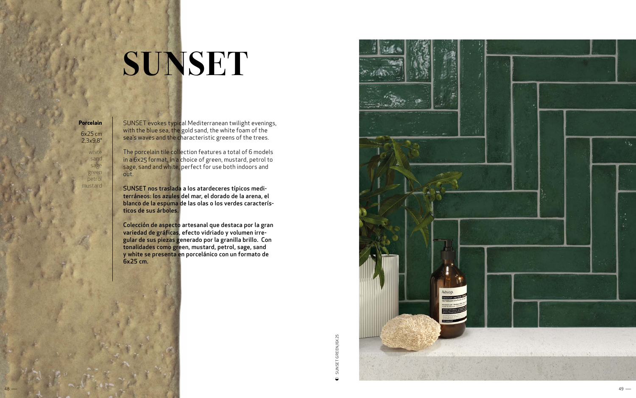## **SUNSET**

SUNSET evokes typical Mediterranean twilight evenings, with the blue sea, the gold sand, the white foam of the sea's waves and the characteristic greens of the trees.

The porcelain tile collection features a total of 6 models in a 6x25 format, in a choice of green, mustard, petrol to sage, sand and white, perfect for use both indoors and out.

SUNSET nos traslada a los atardeceres típicos medi terráneos: los azules del mar, el dorado de la arena, el blanco de la espuma de las olas o los verdes caracterís ticos de sus árboles.

Colección de aspecto artesanal que destaca por la gran variedad de gráficas, efecto vidriado y volumen irre gular de sus piezas generado por la granilla brillo. Con tonalidades como green, mustard, petrol, sage, sand y white se presenta en porcelánico con un formato de 6x25 cm.

**Porcelain** 6x25 cm 2,3 x9,8 "

> white sand sage green petrol mustard

> > SUNSET GREEN/6X25

SUNSET GREEN/6X25

 $\bigcirc$ 

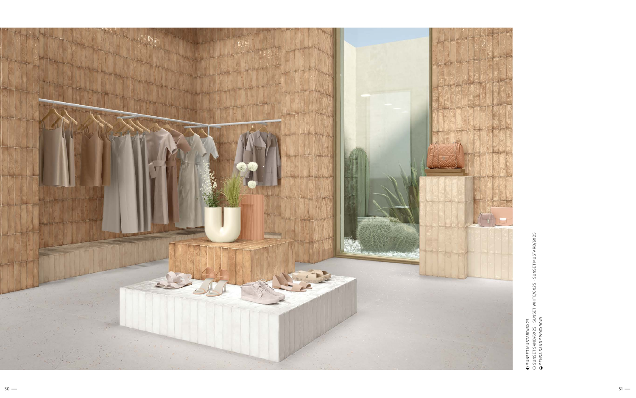SUNSET MUSTARD/6X 25

● SUNSET MUSTARD/6X25<br>○ SUNSET SAND/6X25 · SUNSET WHITE/6X25 · SUNSET MUSTARD/6X25<br>● SENSA SAND SP/90X90/R SUNSET SAND/6X 25 · SUNSET WHITE/6X 25 · SUNSET MUSTARD/6X 25



SENSA SAND SP/90X90/R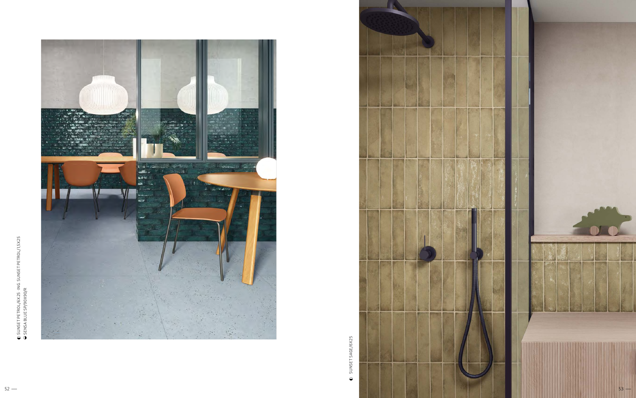

SUNSET SAGE/6X25 SUNSET SAGE/6X25  $\hbox{\large \ensuremath{\bullet}}$